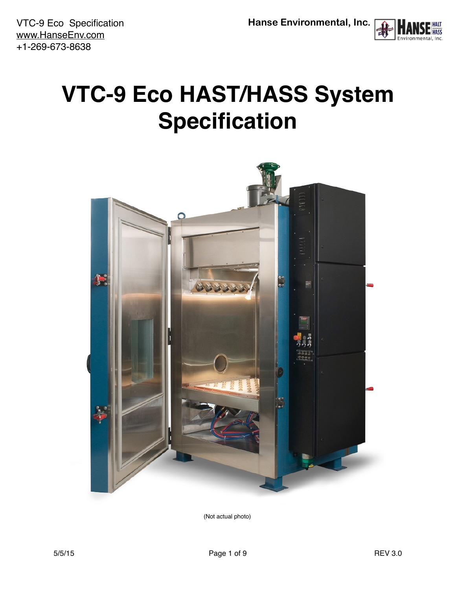

# <span id="page-0-0"></span>**VTC-9 Eco HAST/HASS System Specification**



(Not actual photo)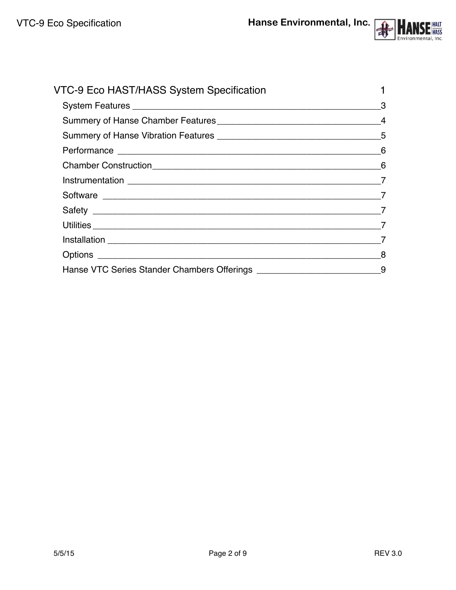

| VTC-9 Eco HAST/HASS System Specification |  |
|------------------------------------------|--|
|                                          |  |
|                                          |  |
|                                          |  |
|                                          |  |
|                                          |  |
|                                          |  |
|                                          |  |
|                                          |  |
|                                          |  |
|                                          |  |
|                                          |  |
|                                          |  |
|                                          |  |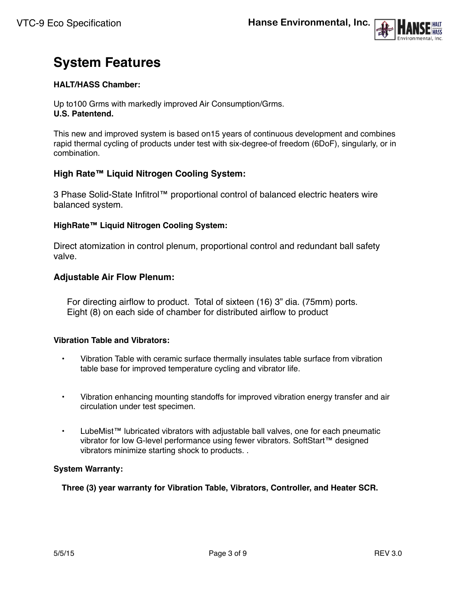

# <span id="page-2-0"></span>**System Features**

#### **HALT/HASS Chamber:**

Up to100 Grms with markedly improved Air Consumption/Grms. **U.S. Patentend.**

This new and improved system is based on15 years of continuous development and combines rapid thermal cycling of products under test with six-degree-of freedom (6DoF), singularly, or in combination.

### **High Rate™ Liquid Nitrogen Cooling System:**

3 Phase Solid-State Infitrol™ proportional control of balanced electric heaters wire balanced system.

#### **HighRate™ Liquid Nitrogen Cooling System:**

Direct atomization in control plenum, proportional control and redundant ball safety valve.

#### **Adjustable Air Flow Plenum:**

For directing airflow to product. Total of sixteen (16) 3" dia. (75mm) ports. Eight (8) on each side of chamber for distributed airflow to product

#### **Vibration Table and Vibrators:**

- Vibration Table with ceramic surface thermally insulates table surface from vibration table base for improved temperature cycling and vibrator life.
- Vibration enhancing mounting standoffs for improved vibration energy transfer and air circulation under test specimen.
- LubeMist™ lubricated vibrators with adjustable ball valves, one for each pneumatic vibrator for low G-level performance using fewer vibrators. SoftStart™ designed vibrators minimize starting shock to products. .

#### **System Warranty:**

**Three (3) year warranty for Vibration Table, Vibrators, Controller, and Heater SCR.**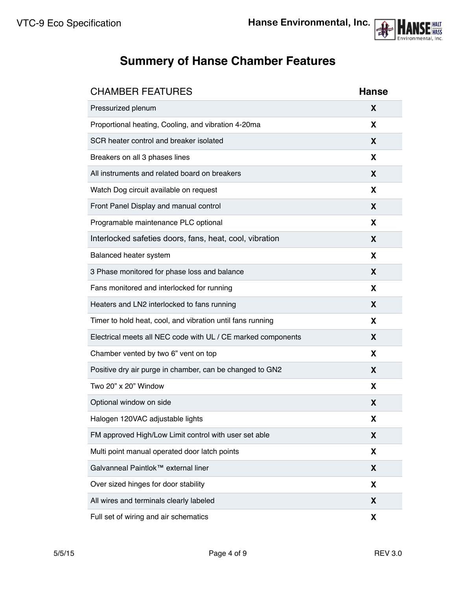

# <span id="page-3-0"></span>**Summery of Hanse Chamber Features**

| <b>CHAMBER FEATURES</b>                                      | <b>Hanse</b> |
|--------------------------------------------------------------|--------------|
| Pressurized plenum                                           | X            |
| Proportional heating, Cooling, and vibration 4-20ma          | X            |
| SCR heater control and breaker isolated                      | X            |
| Breakers on all 3 phases lines                               | X            |
| All instruments and related board on breakers                | X            |
| Watch Dog circuit available on request                       | X            |
| Front Panel Display and manual control                       | X            |
| Programable maintenance PLC optional                         | X            |
| Interlocked safeties doors, fans, heat, cool, vibration      | X            |
| Balanced heater system                                       | X            |
| 3 Phase monitored for phase loss and balance                 | X            |
| Fans monitored and interlocked for running                   | X            |
| Heaters and LN2 interlocked to fans running                  | X            |
| Timer to hold heat, cool, and vibration until fans running   | X            |
| Electrical meets all NEC code with UL / CE marked components | X            |
| Chamber vented by two 6" vent on top                         | X            |
| Positive dry air purge in chamber, can be changed to GN2     | X            |
| Two 20" x 20" Window                                         | X            |
| Optional window on side                                      | X            |
| Halogen 120VAC adjustable lights                             | X            |
| FM approved High/Low Limit control with user set able        | X            |
| Multi point manual operated door latch points                | X            |
| Galvanneal Paintlok™ external liner                          | X            |
| Over sized hinges for door stability                         | X            |
| All wires and terminals clearly labeled                      | X            |
| Full set of wiring and air schematics                        | X            |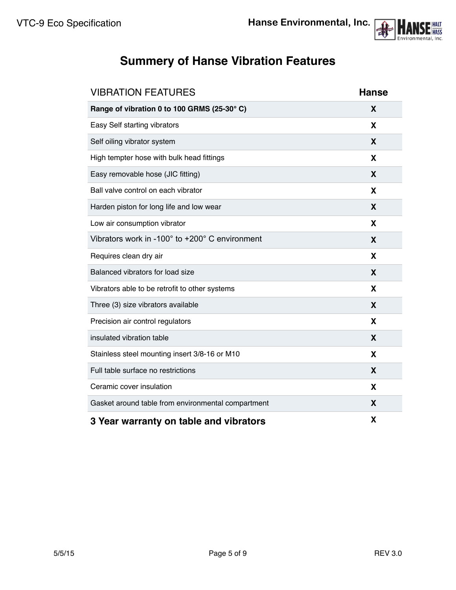

# <span id="page-4-0"></span>**Summery of Hanse Vibration Features**

| <b>VIBRATION FEATURES</b>                          | <b>Hanse</b> |
|----------------------------------------------------|--------------|
| Range of vibration 0 to 100 GRMS (25-30°C)         | X            |
| Easy Self starting vibrators                       | X            |
| Self oiling vibrator system                        | X            |
| High tempter hose with bulk head fittings          | X            |
| Easy removable hose (JIC fitting)                  | X            |
| Ball valve control on each vibrator                | X            |
| Harden piston for long life and low wear           | X            |
| Low air consumption vibrator                       | X            |
| Vibrators work in -100° to +200° C environment     | X            |
| Requires clean dry air                             | X            |
| Balanced vibrators for load size                   | X            |
| Vibrators able to be retrofit to other systems     | X            |
| Three (3) size vibrators available                 | X            |
| Precision air control regulators                   | X            |
| insulated vibration table                          | X            |
| Stainless steel mounting insert 3/8-16 or M10      | X            |
| Full table surface no restrictions                 | X            |
| Ceramic cover insulation                           | X            |
| Gasket around table from environmental compartment | X            |
| 3 Year warranty on table and vibrators             | Χ            |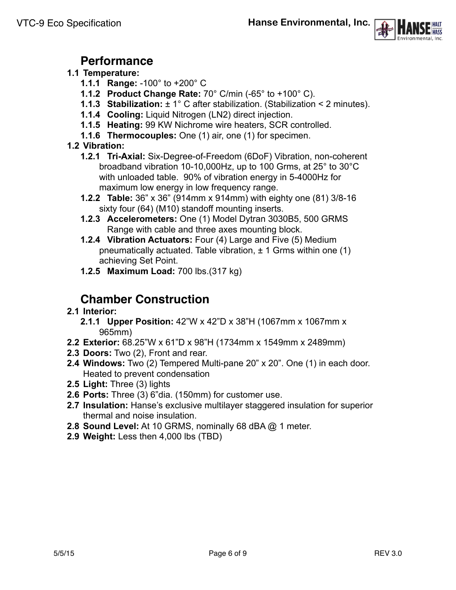

## **Performance**

## <span id="page-5-0"></span>**1.1 Temperature:**

- **1.1.1 Range:** -100° to +200° C
- **1.1.2 Product Change Rate:** 70° C/min (-65° to +100° C).
- **1.1.3 Stabilization:** ± 1° C after stabilization. (Stabilization < 2 minutes).
- **1.1.4 Cooling:** Liquid Nitrogen (LN2) direct injection.
- **1.1.5 Heating:** 99 KW Nichrome wire heaters, SCR controlled.
- **1.1.6 Thermocouples:** One (1) air, one (1) for specimen.

## **1.2 Vibration:**

- **1.2.1 Tri-Axial:** Six-Degree-of-Freedom (6DoF) Vibration, non-coherent broadband vibration 10-10,000Hz, up to 100 Grms, at 25° to 30°C with unloaded table. 90% of vibration energy in 5-4000Hz for maximum low energy in low frequency range.
- **1.2.2 Table:** 36" x 36" (914mm x 914mm) with eighty one (81) 3/8-16 sixty four (64) (M10) standoff mounting inserts.
- **1.2.3 Accelerometers:** One (1) Model Dytran 3030B5, 500 GRMS Range with cable and three axes mounting block.
- **1.2.4 Vibration Actuators:** Four (4) Large and Five (5) Medium pneumatically actuated. Table vibration, ± 1 Grms within one (1) achieving Set Point.
- **1.2.5 Maximum Load:** 700 lbs.(317 kg)

# **Chamber Construction**

## <span id="page-5-1"></span>**2.1 Interior:**

- **2.1.1 Upper Position:** 42"W x 42"D x 38"H (1067mm x 1067mm x 965mm)
- **2.2 Exterior:** 68.25"W x 61"D x 98"H (1734mm x 1549mm x 2489mm)
- **2.3 Doors:** Two (2), Front and rear.
- **2.4 Windows:** Two (2) Tempered Multi-pane 20" x 20". One (1) in each door. Heated to prevent condensation
- **2.5 Light:** Three (3) lights
- **2.6 Ports:** Three (3) 6"dia. (150mm) for customer use.
- **2.7 Insulation:** Hanse's exclusive multilayer staggered insulation for superior thermal and noise insulation.
- **2.8 Sound Level:** At 10 GRMS, nominally 68 dBA @ 1 meter.
- **2.9 Weight:** Less then 4,000 lbs (TBD)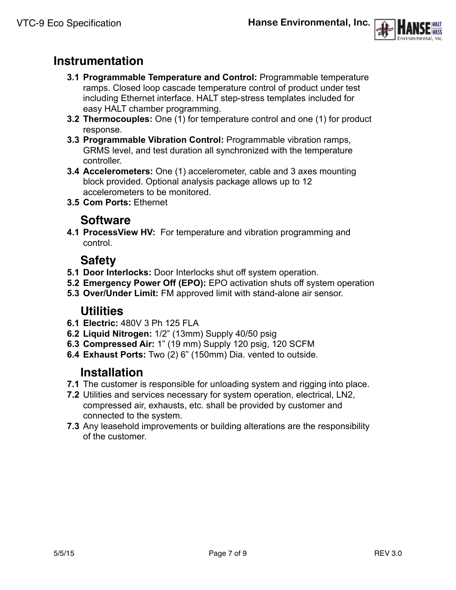

## <span id="page-6-0"></span>**Instrumentation**

- **3.1 Programmable Temperature and Control:** Programmable temperature ramps. Closed loop cascade temperature control of product under test including Ethernet interface. HALT step-stress templates included for easy HALT chamber programming.
- **3.2 Thermocouples:** One (1) for temperature control and one (1) for product response.
- **3.3 Programmable Vibration Control:** Programmable vibration ramps, GRMS level, and test duration all synchronized with the temperature controller.
- **3.4 Accelerometers:** One (1) accelerometer, cable and 3 axes mounting block provided. Optional analysis package allows up to 12 accelerometers to be monitored.
- **3.5 Com Ports:** Ethernet

## **Software**

<span id="page-6-1"></span>**4.1 ProcessView HV:** For temperature and vibration programming and control.

## **Safety**

- <span id="page-6-2"></span>**5.1 Door Interlocks:** Door Interlocks shut off system operation.
- **5.2 Emergency Power Off (EPO):** EPO activation shuts off system operation
- **5.3 Over/Under Limit:** FM approved limit with stand-alone air sensor.

## **Utilities**

- <span id="page-6-3"></span>**6.1 Electric:** 480V 3 Ph 125 FLA
- **6.2 Liquid Nitrogen:** 1/2" (13mm) Supply 40/50 psig
- **6.3 Compressed Air:** 1" (19 mm) Supply 120 psig, 120 SCFM
- **6.4 Exhaust Ports:** Two (2) 6" (150mm) Dia. vented to outside.

## **Installation**

- <span id="page-6-4"></span>**7.1** The customer is responsible for unloading system and rigging into place.
- **7.2** Utilities and services necessary for system operation, electrical, LN2, compressed air, exhausts, etc. shall be provided by customer and connected to the system.
- **7.3** Any leasehold improvements or building alterations are the responsibility of the customer.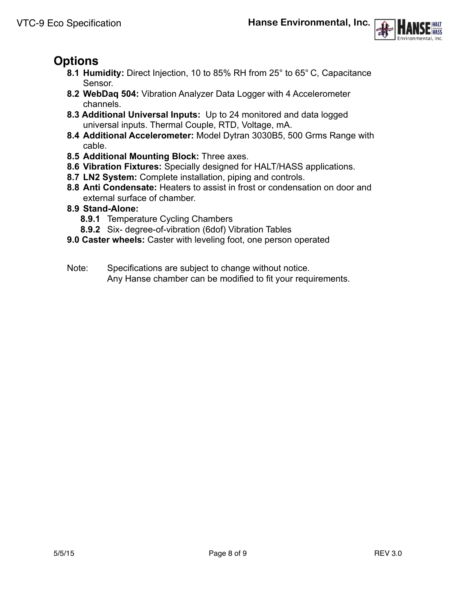

# <span id="page-7-0"></span>**Options**

- **8.1 Humidity:** Direct Injection, 10 to 85% RH from 25° to 65° C, Capacitance Sensor.
- **8.2 WebDaq 504:** Vibration Analyzer Data Logger with 4 Accelerometer channels.
- **8.3 Additional Universal Inputs:** Up to 24 monitored and data logged universal inputs. Thermal Couple, RTD, Voltage, mA.
- **8.4 Additional Accelerometer:** Model Dytran 3030B5, 500 Grms Range with cable.
- **8.5 Additional Mounting Block:** Three axes.
- **8.6 Vibration Fixtures:** Specially designed for HALT/HASS applications.
- **8.7 LN2 System:** Complete installation, piping and controls.
- **8.8 Anti Condensate:** Heaters to assist in frost or condensation on door and external surface of chamber.
- **8.9 Stand-Alone:** 
	- **8.9.1** Temperature Cycling Chambers
	- **8.9.2** Six- degree-of-vibration (6dof) Vibration Tables
- **9.0 Caster wheels:** Caster with leveling foot, one person operated
- Note: Specifications are subject to change without notice. Any Hanse chamber can be modified to fit your requirements.